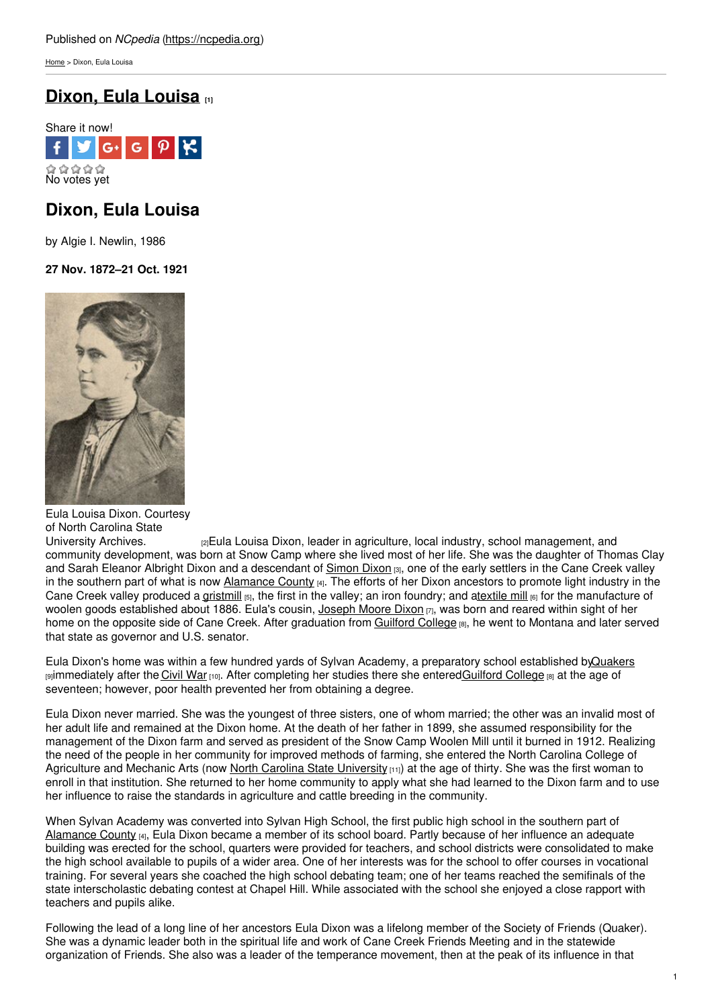[Home](https://ncpedia.org/) > Dixon, Eula Louisa

# **Dixon, Eula [Louisa](https://ncpedia.org/biography/dixon-eula-louisa) [1]**



## **Dixon, Eula Louisa**

by Algie I. Newlin, 1986

### **27 Nov. 1872–21 Oct. 1921**



Eula Louisa Dixon. Courtesy of North Carolina State<br>University Archives.

[2]Eula Louisa Dixon, leader in agriculture, local industry, school management, and community development, was born at Snow Camp where she lived most of her life. She was the daughter of Thomas Clay and Sarah Eleanor Albright Dixon and a descendant of [Simon](https://ncpedia.org/biography/dixon-simon) Dixon [3], one of the early settlers in the Cane Creek valley in the southern part of what is now [Alamance](https://ncpedia.org/geography/alamance) County [4]. The efforts of her Dixon ancestors to promote light industry in the Cane Creek valley produced a [gristmill](https://ncpedia.org/gristmills) [5], the first in the valley; an iron foundry; and [atextile](https://ncpedia.org/textiles/mill-villages) mill [6] for the manufacture of woolen goods established about 1886. Eula's cousin, [Joseph](https://ncpedia.org/biography/dixon-joseph-moore) Moore Dixon [7], was born and reared within sight of her home on the opposite side of Cane Creek. After graduation from [Guilford](https://ncpedia.org/guilford-college) College [8], he went to Montana and later served that state as governor and U.S. senator.

Eula Dixon's home was within a few hundred yards of Sylvan Academy, a preparatory school established b[yQuakers](https://ncpedia.org/quakers) [9] immediately after the [Civil](https://ncpedia.org/history/cw-1900/civil-war) War [10]. After completing her studies there she entered[Guilford](https://ncpedia.org/guilford-college) College [8] at the age of seventeen; however, poor health prevented her from obtaining a degree.

Eula Dixon never married. She was the youngest of three sisters, one of whom married; the other was an invalid most of her adult life and remained at the Dixon home. At the death of her father in 1899, she assumed responsibility for the management of the Dixon farm and served as president of the Snow Camp Woolen Mill until it burned in 1912. Realizing the need of the people in her community for improved methods of farming, she entered the North Carolina College of Agriculture and Mechanic Arts (now North Carolina State [University](https://ncpedia.org/north-carolina-state-university)  $[11]$ ) at the age of thirty. She was the first woman to enroll in that institution. She returned to her home community to apply what she had learned to the Dixon farm and to use her influence to raise the standards in agriculture and cattle breeding in the community.

When Sylvan Academy was converted into Sylvan High School, the first public high school in the southern part of [Alamance](https://ncpedia.org/geography/alamance) County [4], Eula Dixon became a member of its school board. Partly because of her influence an adequate building was erected for the school, quarters were provided for teachers, and school districts were consolidated to make the high school available to pupils of a wider area. One of her interests was for the school to offer courses in vocational training. For several years she coached the high school debating team; one of her teams reached the semifinals of the state interscholastic debating contest at Chapel Hill. While associated with the school she enjoyed a close rapport with teachers and pupils alike.

Following the lead of a long line of her ancestors Eula Dixon was a lifelong member of the Society of Friends (Quaker). She was a dynamic leader both in the spiritual life and work of Cane Creek Friends Meeting and in the statewide organization of Friends. She also was a leader of the temperance movement, then at the peak of its influence in that